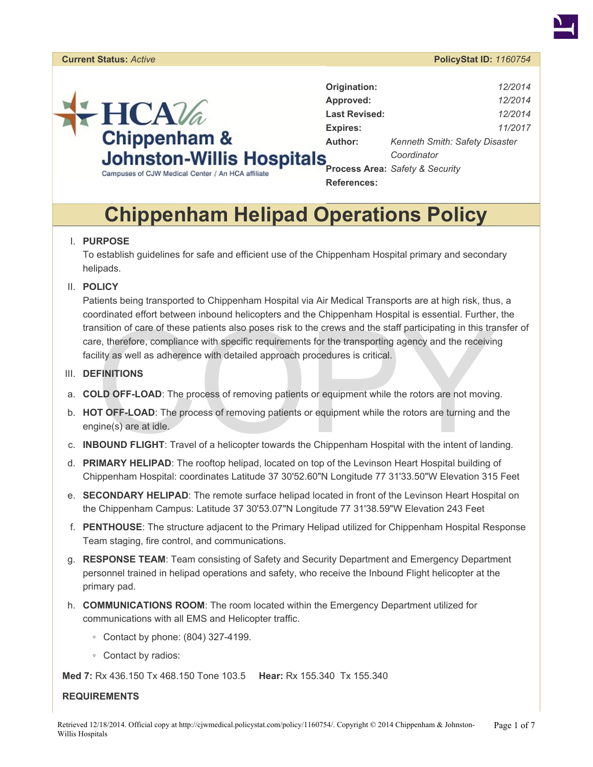

# **Chippenham Helipad Operations Policy**

#### I. **PURPOSE**

To establish guidelines for safe and efficient use of the Chippenham Hospital primary and secondary helipads.

II. **POLICY**

Instition of care of these patients also poses risk to the crews and the staff participating in this trace, therefore, compliance with specific requirements for the transporting agency and the receivine e, therefore, compl Patients being transported to Chippenham Hospital via Air Medical Transports are at high risk, thus, a coordinated effort between inbound helicopters and the Chippenham Hospital is essential. Further, the transition of care of these patients also poses risk to the crews and the staff participating in this transfer of care, therefore, compliance with specific requirements for the transporting agency and the receiving facility as well as adherence with detailed approach procedures is critical.

- III. **DEFINITIONS**
- a. **COLD OFF-LOAD**: The process of removing patients or equipment while the rotors are not moving.
- b. **HOT OFF-LOAD**: The process of removing patients or equipment while the rotors are turning and the engine(s) are at idle.
- c. **INBOUND FLIGHT**: Travel of a helicopter towards the Chippenham Hospital with the intent of landing.
- d. **PRIMARY HELIPAD**: The rooftop helipad, located on top of the Levinson Heart Hospital building of Chippenham Hospital: coordinates Latitude 37 30'52.60"N Longitude 77 31'33.50"W Elevation 315 Feet
- e. **SECONDARY HELIPAD**: The remote surface helipad located in front of the Levinson Heart Hospital on the Chippenham Campus: Latitude 37 30'53.07"N Longitude 77 31'38.59"W Elevation 243 Feet
- f. **PENTHOUSE**: The structure adjacent to the Primary Helipad utilized for Chippenham Hospital Response Team staging, fire control, and communications.
- g. **RESPONSE TEAM**: Team consisting of Safety and Security Department and Emergency Department personnel trained in helipad operations and safety, who receive the Inbound Flight helicopter at the primary pad.
- h. **COMMUNICATIONS ROOM**: The room located within the Emergency Department utilized for communications with all EMS and Helicopter traffic.
	- Contact by phone: (804) 327-4199.
	- Contact by radios:

**Med 7:** Rx 436.150 Tx 468.150 Tone 103.5 **Hear:** Rx 155.340 Tx 155.340

#### **REQUIREMENTS**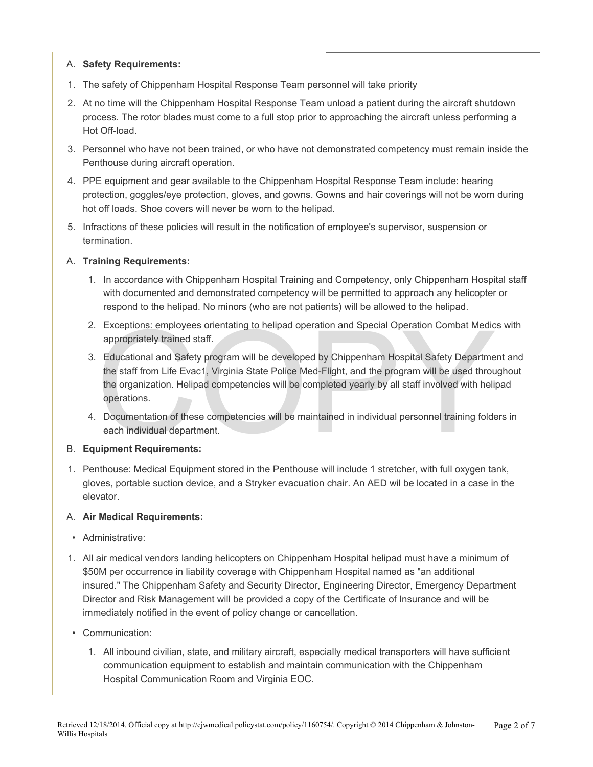# A. **Safety Requirements:**

- 1. The safety of Chippenham Hospital Response Team personnel will take priority
- 2. At no time will the Chippenham Hospital Response Team unload a patient during the aircraft shutdown process. The rotor blades must come to a full stop prior to approaching the aircraft unless performing a Hot Off-load.
- 3. Personnel who have not been trained, or who have not demonstrated competency must remain inside the Penthouse during aircraft operation.
- 4. PPE equipment and gear available to the Chippenham Hospital Response Team include: hearing protection, goggles/eye protection, gloves, and gowns. Gowns and hair coverings will not be worn during hot off loads. Shoe covers will never be worn to the helipad.
- 5. Infractions of these policies will result in the notification of employee's supervisor, suspension or termination.

# A. **Training Requirements:**

- 1. In accordance with Chippenham Hospital Training and Competency, only Chippenham Hospital staff with documented and demonstrated competency will be permitted to approach any helicopter or respond to the helipad. No minors (who are not patients) will be allowed to the helipad.
- 2. Exceptions: employees orientating to helipad operation and Special Operation Combat Medics with appropriately trained staff.
- Exceptions: employees orientating to helipad operation and Special Operation Combat Medic<br>appropriately trained staff.<br>Educational and Safety program will be developed by Chippenham Hospital Safety Departme<br>the staff from 3. Educational and Safety program will be developed by Chippenham Hospital Safety Department and the staff from Life Evac1, Virginia State Police Med-Flight, and the program will be used throughout the organization. Helipad competencies will be completed yearly by all staff involved with helipad operations.
- 4. Documentation of these competencies will be maintained in individual personnel training folders in each individual department.

# B. **Equipment Requirements:**

1. Penthouse: Medical Equipment stored in the Penthouse will include 1 stretcher, with full oxygen tank, gloves, portable suction device, and a Stryker evacuation chair. An AED wil be located in a case in the elevator.

#### A. **Air Medical Requirements:**

- Administrative:
- 1. All air medical vendors landing helicopters on Chippenham Hospital helipad must have a minimum of \$50M per occurrence in liability coverage with Chippenham Hospital named as "an additional insured." The Chippenham Safety and Security Director, Engineering Director, Emergency Department Director and Risk Management will be provided a copy of the Certificate of Insurance and will be immediately notified in the event of policy change or cancellation.
- Communication:
	- 1. All inbound civilian, state, and military aircraft, especially medical transporters will have sufficient communication equipment to establish and maintain communication with the Chippenham Hospital Communication Room and Virginia EOC.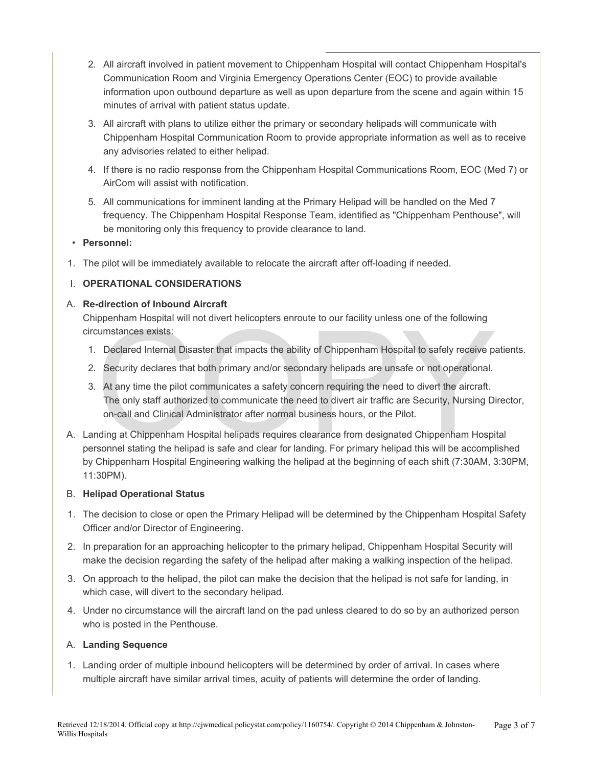- 2. All aircraft involved in patient movement to Chippenham Hospital will contact Chippenham Hospital's Communication Room and Virginia Emergency Operations Center (EOC) to provide available information upon outbound departure as well as upon departure from the scene and again within 15 minutes of arrival with patient status update.
- 3. All aircraft with plans to utilize either the primary or secondary helipads will communicate with Chippenham Hospital Communication Room to provide appropriate information as well as to receive any advisories related to either helipad.
- 4. If there is no radio response from the Chippenham Hospital Communications Room, EOC (Med 7) or AirCom will assist with notification.
- 5. All communications for imminent landing at the Primary Helipad will be handled on the Med 7 frequency. The Chippenham Hospital Response Team, identified as "Chippenham Penthouse", will be monitoring only this frequency to provide clearance to land.

• **Personnel:**

1. The pilot will be immediately available to relocate the aircraft after off-loading if needed.

# I. **OPERATIONAL CONSIDERATIONS**

# A. **Re-direction of Inbound Aircraft**

Chippenham Hospital will not divert helicopters enroute to our facility unless one of the following circumstances exists:

- 1. Declared Internal Disaster that impacts the ability of Chippenham Hospital to safely receive patients.
- 2. Security declares that both primary and/or secondary helipads are unsafe or not operational.
- phermann Hospital will not divert helicopters enfode to our lacinity differs one of the following<br>cumstances exists:<br>Security declares that both primary and/or secondary helipads are unsafe or not operational.<br>At any time 3. At any time the pilot communicates a safety concern requiring the need to divert the aircraft. The only staff authorized to communicate the need to divert air traffic are Security, Nursing Director, on-call and Clinical Administrator after normal business hours, or the Pilot.
- A. Landing at Chippenham Hospital helipads requires clearance from designated Chippenham Hospital personnel stating the helipad is safe and clear for landing. For primary helipad this will be accomplished by Chippenham Hospital Engineering walking the helipad at the beginning of each shift (7:30AM, 3:30PM, 11:30PM).

#### B. **Helipad Operational Status**

- 1. The decision to close or open the Primary Helipad will be determined by the Chippenham Hospital Safety Officer and/or Director of Engineering.
- 2. In preparation for an approaching helicopter to the primary helipad, Chippenham Hospital Security will make the decision regarding the safety of the helipad after making a walking inspection of the helipad.
- 3. On approach to the helipad, the pilot can make the decision that the helipad is not safe for landing, in which case, will divert to the secondary helipad.
- 4. Under no circumstance will the aircraft land on the pad unless cleared to do so by an authorized person who is posted in the Penthouse.

# A. **Landing Sequence**

1. Landing order of multiple inbound helicopters will be determined by order of arrival. In cases where multiple aircraft have similar arrival times, acuity of patients will determine the order of landing.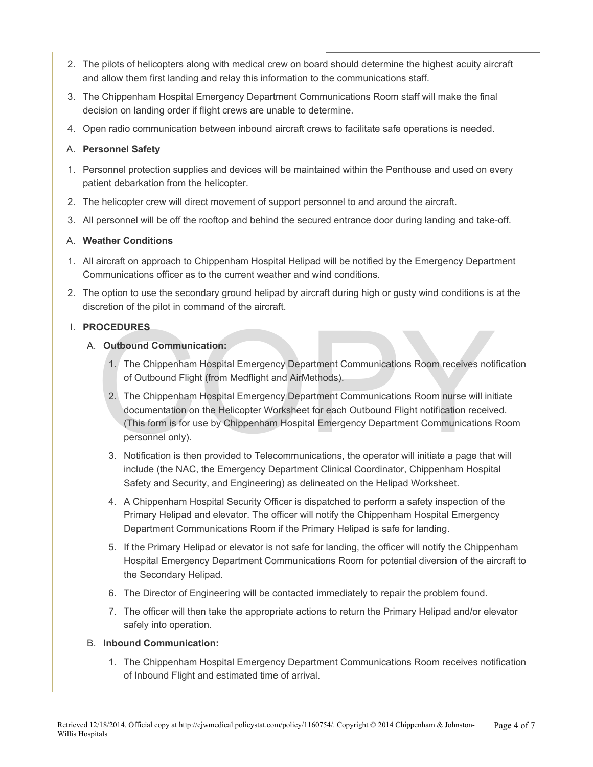- 2. The pilots of helicopters along with medical crew on board should determine the highest acuity aircraft and allow them first landing and relay this information to the communications staff.
- 3. The Chippenham Hospital Emergency Department Communications Room staff will make the final decision on landing order if flight crews are unable to determine.
- 4. Open radio communication between inbound aircraft crews to facilitate safe operations is needed.

#### A. **Personnel Safety**

- 1. Personnel protection supplies and devices will be maintained within the Penthouse and used on every patient debarkation from the helicopter.
- 2. The helicopter crew will direct movement of support personnel to and around the aircraft.
- 3. All personnel will be off the rooftop and behind the secured entrance door during landing and take-off.

#### A. **Weather Conditions**

- 1. All aircraft on approach to Chippenham Hospital Helipad will be notified by the Emergency Department Communications officer as to the current weather and wind conditions.
- 2. The option to use the secondary ground helipad by aircraft during high or gusty wind conditions is at the discretion of the pilot in command of the aircraft.

#### I. **PROCEDURES**

### A. **Outbound Communication:**

- 1. The Chippenham Hospital Emergency Department Communications Room receives notification of Outbound Flight (from Medflight and AirMethods).
- CONTERNATION Communication:<br>
1. The Chippenham Hospital Emergency Department Communications Room receives notical<br>
1. The Chippenham Hospital Emergency Department Communications Room receives notic<br>
1. The Chippenham Hospi 2. The Chippenham Hospital Emergency Department Communications Room nurse will initiate documentation on the Helicopter Worksheet for each Outbound Flight notification received. (This form is for use by Chippenham Hospital Emergency Department Communications Room personnel only).
	- 3. Notification is then provided to Telecommunications, the operator will initiate a page that will include (the NAC, the Emergency Department Clinical Coordinator, Chippenham Hospital Safety and Security, and Engineering) as delineated on the Helipad Worksheet.
	- 4. A Chippenham Hospital Security Officer is dispatched to perform a safety inspection of the Primary Helipad and elevator. The officer will notify the Chippenham Hospital Emergency Department Communications Room if the Primary Helipad is safe for landing.
	- 5. If the Primary Helipad or elevator is not safe for landing, the officer will notify the Chippenham Hospital Emergency Department Communications Room for potential diversion of the aircraft to the Secondary Helipad.
	- 6. The Director of Engineering will be contacted immediately to repair the problem found.
	- 7. The officer will then take the appropriate actions to return the Primary Helipad and/or elevator safely into operation.

#### B. **Inbound Communication:**

1. The Chippenham Hospital Emergency Department Communications Room receives notification of Inbound Flight and estimated time of arrival.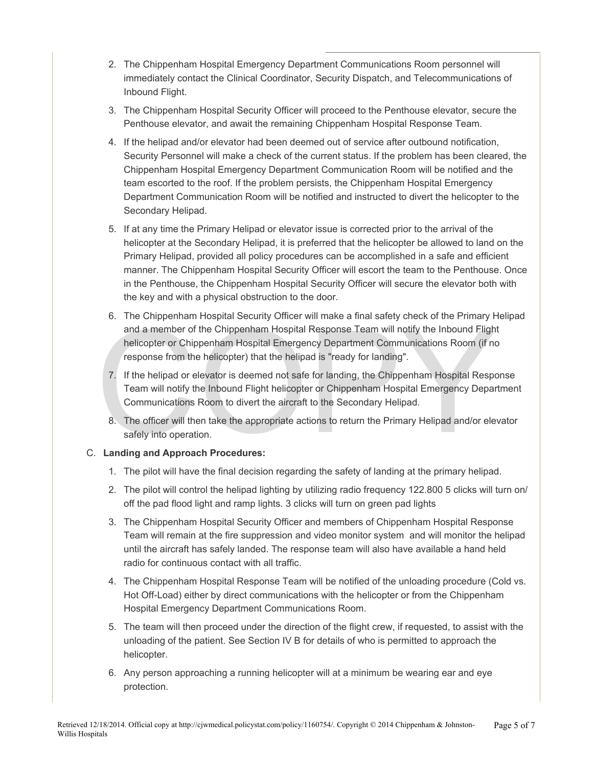- 2. The Chippenham Hospital Emergency Department Communications Room personnel will immediately contact the Clinical Coordinator, Security Dispatch, and Telecommunications of Inbound Flight.
- 3. The Chippenham Hospital Security Officer will proceed to the Penthouse elevator, secure the Penthouse elevator, and await the remaining Chippenham Hospital Response Team.
- 4. If the helipad and/or elevator had been deemed out of service after outbound notification, Security Personnel will make a check of the current status. If the problem has been cleared, the Chippenham Hospital Emergency Department Communication Room will be notified and the team escorted to the roof. If the problem persists, the Chippenham Hospital Emergency Department Communication Room will be notified and instructed to divert the helicopter to the Secondary Helipad.
- 5. If at any time the Primary Helipad or elevator issue is corrected prior to the arrival of the helicopter at the Secondary Helipad, it is preferred that the helicopter be allowed to land on the Primary Helipad, provided all policy procedures can be accomplished in a safe and efficient manner. The Chippenham Hospital Security Officer will escort the team to the Penthouse. Once in the Penthouse, the Chippenham Hospital Security Officer will secure the elevator both with the key and with a physical obstruction to the door.
- The distribution of the Chippenham Hospital Response Team will notify the Inbound Flight<br>and a member of the Chippenham Hospital Response Team will notify the Inbound Flight<br>helicopter or Chippenham Hospital Emergency Depa 6. The Chippenham Hospital Security Officer will make a final safety check of the Primary Helipad and a member of the Chippenham Hospital Response Team will notify the Inbound Flight helicopter or Chippenham Hospital Emergency Department Communications Room (if no response from the helicopter) that the helipad is "ready for landing".
	- 7. If the helipad or elevator is deemed not safe for landing, the Chippenham Hospital Response Team will notify the Inbound Flight helicopter or Chippenham Hospital Emergency Department Communications Room to divert the aircraft to the Secondary Helipad.
	- 8. The officer will then take the appropriate actions to return the Primary Helipad and/or elevator safely into operation.

# C. **Landing and Approach Procedures:**

- 1. The pilot will have the final decision regarding the safety of landing at the primary helipad.
- 2. The pilot will control the helipad lighting by utilizing radio frequency 122.800 5 clicks will turn on/ off the pad flood light and ramp lights. 3 clicks will turn on green pad lights
- 3. The Chippenham Hospital Security Officer and members of Chippenham Hospital Response Team will remain at the fire suppression and video monitor system and will monitor the helipad until the aircraft has safely landed. The response team will also have available a hand held radio for continuous contact with all traffic.
- 4. The Chippenham Hospital Response Team will be notified of the unloading procedure (Cold vs. Hot Off-Load) either by direct communications with the helicopter or from the Chippenham Hospital Emergency Department Communications Room.
- 5. The team will then proceed under the direction of the flight crew, if requested, to assist with the unloading of the patient. See Section IV B for details of who is permitted to approach the helicopter.
- 6. Any person approaching a running helicopter will at a minimum be wearing ear and eye protection.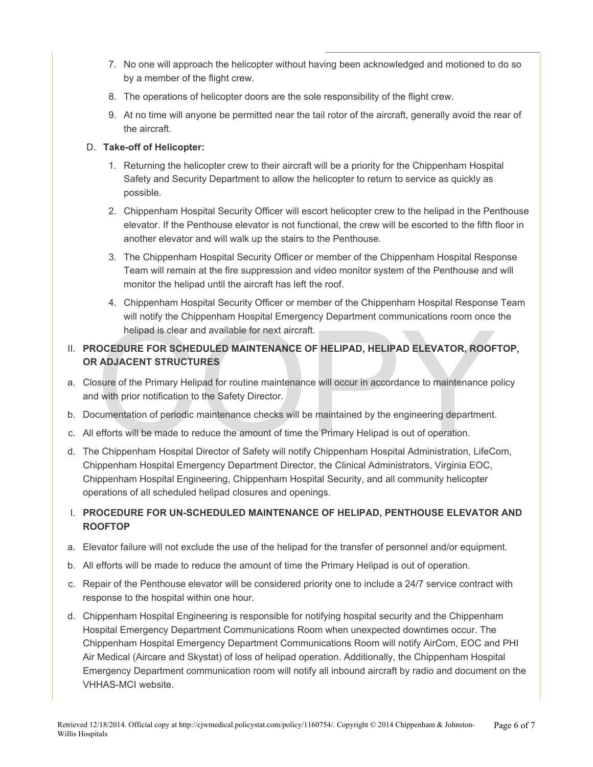- 7. No one will approach the helicopter without having been acknowledged and motioned to do so by a member of the flight crew.
- 8. The operations of helicopter doors are the sole responsibility of the flight crew.
- 9. At no time will anyone be permitted near the tail rotor of the aircraft, generally avoid the rear of the aircraft.

# D. **Take-off of Helicopter:**

- 1. Returning the helicopter crew to their aircraft will be a priority for the Chippenham Hospital Safety and Security Department to allow the helicopter to return to service as quickly as possible.
- 2. Chippenham Hospital Security Officer will escort helicopter crew to the helipad in the Penthouse elevator. If the Penthouse elevator is not functional, the crew will be escorted to the fifth floor in another elevator and will walk up the stairs to the Penthouse.
- 3. The Chippenham Hospital Security Officer or member of the Chippenham Hospital Response Team will remain at the fire suppression and video monitor system of the Penthouse and will monitor the helipad until the aircraft has left the roof.
- 4. Chippenham Hospital Security Officer or member of the Chippenham Hospital Response Team will notify the Chippenham Hospital Emergency Department communications room once the helipad is clear and available for next aircraft.

# Will hold is clear and available for next aircraft.<br> **OCEDURE FOR SCHEDULED MAINTENANCE OF HELIPAD, HELIPAD ELEVATOR, ROOF**<br> **COCEDURE FOR SCHEDULED MAINTENANCE OF HELIPAD, HELIPAD ELEVATOR, ROOF**<br> **COCEDURE FOR SCHEDULED** II. **PROCEDURE FOR SCHEDULED MAINTENANCE OF HELIPAD, HELIPAD ELEVATOR, ROOFTOP, OR ADJACENT STRUCTURES**

- a. Closure of the Primary Helipad for routine maintenance will occur in accordance to maintenance policy and with prior notification to the Safety Director.
- b. Documentation of periodic maintenance checks will be maintained by the engineering department.
- c. All efforts will be made to reduce the amount of time the Primary Helipad is out of operation.
- d. The Chippenham Hospital Director of Safety will notify Chippenham Hospital Administration, LifeCom, Chippenham Hospital Emergency Department Director, the Clinical Administrators, Virginia EOC, Chippenham Hospital Engineering, Chippenham Hospital Security, and all community helicopter operations of all scheduled helipad closures and openings.
- I. **PROCEDURE FOR UN-SCHEDULED MAINTENANCE OF HELIPAD, PENTHOUSE ELEVATOR AND ROOFTOP**
- a. Elevator failure will not exclude the use of the helipad for the transfer of personnel and/or equipment.
- b. All efforts will be made to reduce the amount of time the Primary Helipad is out of operation.
- c. Repair of the Penthouse elevator will be considered priority one to include a 24/7 service contract with response to the hospital within one hour.
- d. Chippenham Hospital Engineering is responsible for notifying hospital security and the Chippenham Hospital Emergency Department Communications Room when unexpected downtimes occur. The Chippenham Hospital Emergency Department Communications Room will notify AirCom, EOC and PHI Air Medical (Aircare and Skystat) of loss of helipad operation. Additionally, the Chippenham Hospital Emergency Department communication room will notify all inbound aircraft by radio and document on the VHHAS-MCI website.